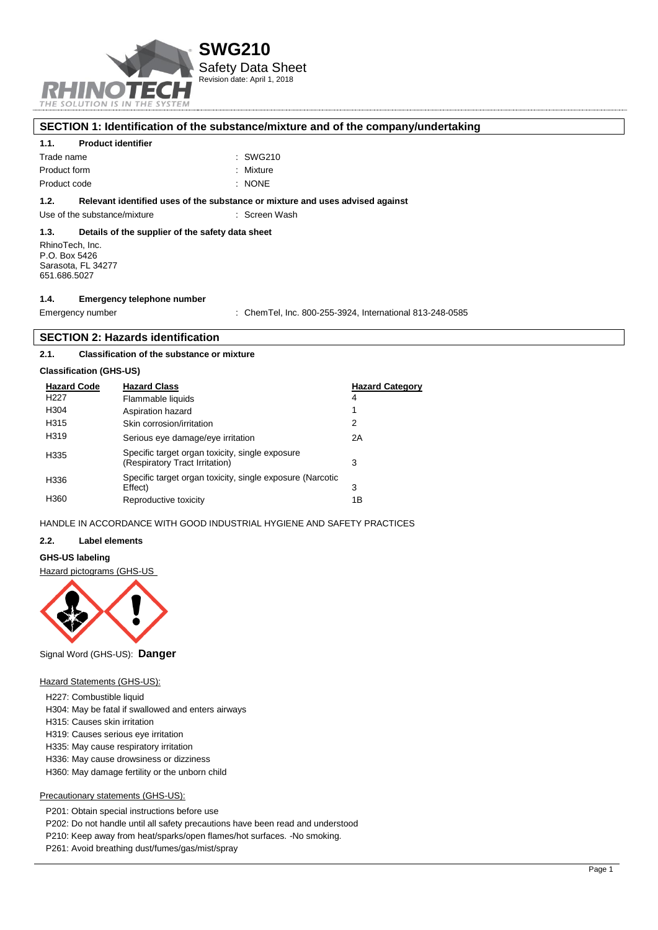

## **SECTION 1: Identification of the substance/mixture and of the company/undertaking**

#### **1.1. Product identifier**

| Trade name   | : SWG210  |
|--------------|-----------|
| Product form | : Mixture |
| Product code | : NONE    |

#### **1.2. Relevant identified uses of the substance or mixture and uses advised against**

Use of the substance/mixture **interest and the substance/mixture** intervalsed in Screen Wash

#### **1.3. Details of the supplier of the safety data sheet**

RhinoTech, Inc. P.O. Box 5426 Sarasota, FL 34277 651.686.5027

#### **1.4. Emergency telephone number**

Emergency number : ChemTel, Inc. 800-255-3924, International 813-248-0585

#### **SECTION 2: Hazards identification**

### **2.1. Classification of the substance or mixture**

#### **Classification (GHS-US)**

| <b>Hazard Code</b> | <b>Hazard Class</b>                                                               | <b>Hazard Category</b> |
|--------------------|-----------------------------------------------------------------------------------|------------------------|
| H <sub>22</sub> 7  | Flammable liquids                                                                 | 4                      |
| H304               | Aspiration hazard                                                                 | 1                      |
| H315               | Skin corrosion/irritation                                                         | 2                      |
| H319               | Serious eye damage/eye irritation                                                 | 2Α                     |
| H335               | Specific target organ toxicity, single exposure<br>(Respiratory Tract Irritation) | 3                      |
| H336               | Specific target organ toxicity, single exposure (Narcotic<br>Effect)              | 3                      |
| H360               | Reproductive toxicity                                                             | 1Β                     |

#### HANDLE IN ACCORDANCE WITH GOOD INDUSTRIAL HYGIENE AND SAFETY PRACTICES

#### **2.2. Label elements**

## **GHS-US labeling**

Hazard pictograms (GHS-US



Signal Word (GHS-US): **Danger**

#### Hazard Statements (GHS-US):

- H227: Combustible liquid
- H304: May be fatal if swallowed and enters airways
- H315: Causes skin irritation
- H319: Causes serious eye irritation
- H335: May cause respiratory irritation
- H336: May cause drowsiness or dizziness
- H360: May damage fertility or the unborn child

#### Precautionary statements (GHS-US):

- P201: Obtain special instructions before use
- P202: Do not handle until all safety precautions have been read and understood
- P210: Keep away from heat/sparks/open flames/hot surfaces. -No smoking.
- P261: Avoid breathing dust/fumes/gas/mist/spray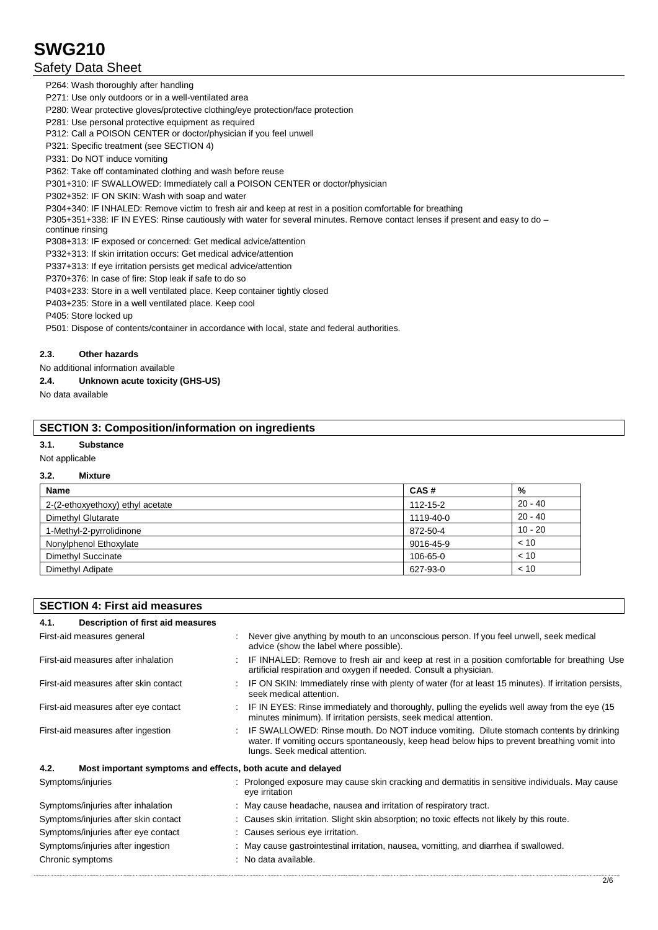## Safety Data Sheet

P264: Wash thoroughly after handling

P271: Use only outdoors or in a well-ventilated area

P280: Wear protective gloves/protective clothing/eye protection/face protection

P281: Use personal protective equipment as required

P312: Call a POISON CENTER or doctor/physician if you feel unwell

P321: Specific treatment (see SECTION 4)

P331: Do NOT induce vomiting

P362: Take off contaminated clothing and wash before reuse

P301+310: IF SWALLOWED: Immediately call a POISON CENTER or doctor/physician

P302+352: IF ON SKIN: Wash with soap and water

P304+340: IF INHALED: Remove victim to fresh air and keep at rest in a position comfortable for breathing

P305+351+338: IF IN EYES: Rinse cautiously with water for several minutes. Remove contact lenses if present and easy to do continue rinsing

P308+313: IF exposed or concerned: Get medical advice/attention

P332+313: If skin irritation occurs: Get medical advice/attention

P337+313: If eye irritation persists get medical advice/attention

P370+376: In case of fire: Stop leak if safe to do so

P403+233: Store in a well ventilated place. Keep container tightly closed

P403+235: Store in a well ventilated place. Keep cool

P405: Store locked up

P501: Dispose of contents/container in accordance with local, state and federal authorities.

#### **2.3. Other hazards**

No additional information available

## **2.4. Unknown acute toxicity (GHS-US)**

No data available

## **SECTION 3: Composition/information on ingredients**

#### **3.1. Substance**

Not applicable

### **3.2. Mixture**

| <b>Name</b>                      | CAS#      | %         |
|----------------------------------|-----------|-----------|
| 2-(2-ethoxyethoxy) ethyl acetate | 112-15-2  | $20 - 40$ |
| Dimethyl Glutarate               | 1119-40-0 | $20 - 40$ |
| 1-Methyl-2-pyrrolidinone         | 872-50-4  | $10 - 20$ |
| Nonylphenol Ethoxylate           | 9016-45-9 | < 10      |
| Dimethyl Succinate               | 106-65-0  | < 10      |
| Dimethyl Adipate                 | 627-93-0  | < 10      |

| <b>SECTION 4: First aid measures</b>                                |  |                                                                                                                                                                                                                           |  |
|---------------------------------------------------------------------|--|---------------------------------------------------------------------------------------------------------------------------------------------------------------------------------------------------------------------------|--|
| Description of first aid measures<br>4.1.                           |  |                                                                                                                                                                                                                           |  |
| First-aid measures general                                          |  | Never give anything by mouth to an unconscious person. If you feel unwell, seek medical<br>advice (show the label where possible).                                                                                        |  |
| First-aid measures after inhalation                                 |  | IF INHALED: Remove to fresh air and keep at rest in a position comfortable for breathing Use<br>artificial respiration and oxygen if needed. Consult a physician.                                                         |  |
| First-aid measures after skin contact                               |  | IF ON SKIN: Immediately rinse with plenty of water (for at least 15 minutes). If irritation persists,<br>seek medical attention.                                                                                          |  |
| First-aid measures after eye contact                                |  | IF IN EYES: Rinse immediately and thoroughly, pulling the eyelids well away from the eye (15<br>minutes minimum). If irritation persists, seek medical attention.                                                         |  |
| First-aid measures after ingestion                                  |  | IF SWALLOWED: Rinse mouth. Do NOT induce vomiting. Dilute stomach contents by drinking<br>water. If vomiting occurs spontaneously, keep head below hips to prevent breathing vomit into<br>lungs. Seek medical attention. |  |
| 4.2.<br>Most important symptoms and effects, both acute and delayed |  |                                                                                                                                                                                                                           |  |
| Symptoms/injuries                                                   |  | : Prolonged exposure may cause skin cracking and dermatitis in sensitive individuals. May cause<br>eye irritation                                                                                                         |  |
| Symptoms/injuries after inhalation                                  |  | : May cause headache, nausea and irritation of respiratory tract.                                                                                                                                                         |  |
| Symptoms/injuries after skin contact                                |  | : Causes skin irritation. Slight skin absorption; no toxic effects not likely by this route.                                                                                                                              |  |
| Symptoms/injuries after eye contact                                 |  | : Causes serious eye irritation.                                                                                                                                                                                          |  |
| Symptoms/injuries after ingestion                                   |  | : May cause gastrointestinal irritation, nausea, vomitting, and diarrhea if swallowed.                                                                                                                                    |  |
| Chronic symptoms                                                    |  | : No data available.                                                                                                                                                                                                      |  |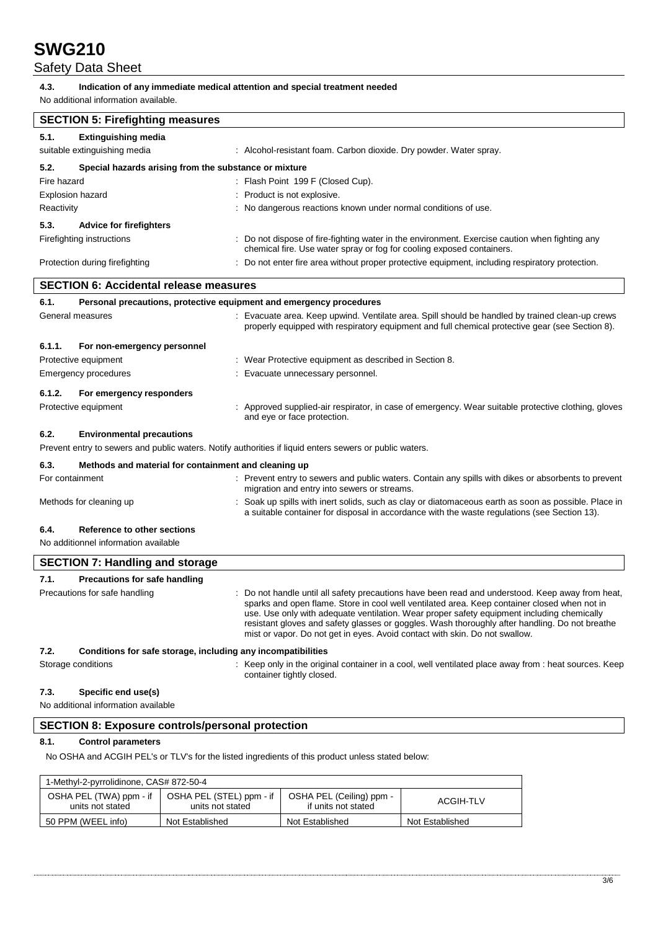## Safety Data Sheet

#### **4.3. Indication of any immediate medical attention and special treatment needed**

No additional information available.

| <b>SECTION 5: Firefighting measures</b>                              |                                                                                                                                                                                                                                                                                                                                                                                                                                                                                 |  |  |  |  |
|----------------------------------------------------------------------|---------------------------------------------------------------------------------------------------------------------------------------------------------------------------------------------------------------------------------------------------------------------------------------------------------------------------------------------------------------------------------------------------------------------------------------------------------------------------------|--|--|--|--|
| 5.1.<br><b>Extinguishing media</b>                                   |                                                                                                                                                                                                                                                                                                                                                                                                                                                                                 |  |  |  |  |
| suitable extinguishing media                                         | : Alcohol-resistant foam. Carbon dioxide. Dry powder. Water spray.                                                                                                                                                                                                                                                                                                                                                                                                              |  |  |  |  |
| 5.2.                                                                 | Special hazards arising from the substance or mixture                                                                                                                                                                                                                                                                                                                                                                                                                           |  |  |  |  |
| Fire hazard                                                          | : Flash Point 199 F (Closed Cup).                                                                                                                                                                                                                                                                                                                                                                                                                                               |  |  |  |  |
| <b>Explosion hazard</b>                                              | : Product is not explosive.                                                                                                                                                                                                                                                                                                                                                                                                                                                     |  |  |  |  |
| Reactivity                                                           | : No dangerous reactions known under normal conditions of use.                                                                                                                                                                                                                                                                                                                                                                                                                  |  |  |  |  |
| 5.3.<br><b>Advice for firefighters</b>                               |                                                                                                                                                                                                                                                                                                                                                                                                                                                                                 |  |  |  |  |
| Firefighting instructions                                            | Do not dispose of fire-fighting water in the environment. Exercise caution when fighting any<br>chemical fire. Use water spray or fog for cooling exposed containers.                                                                                                                                                                                                                                                                                                           |  |  |  |  |
| Protection during firefighting                                       | Do not enter fire area without proper protective equipment, including respiratory protection.                                                                                                                                                                                                                                                                                                                                                                                   |  |  |  |  |
| <b>SECTION 6: Accidental release measures</b>                        |                                                                                                                                                                                                                                                                                                                                                                                                                                                                                 |  |  |  |  |
| 6.1.                                                                 | Personal precautions, protective equipment and emergency procedures                                                                                                                                                                                                                                                                                                                                                                                                             |  |  |  |  |
| General measures                                                     | : Evacuate area. Keep upwind. Ventilate area. Spill should be handled by trained clean-up crews<br>properly equipped with respiratory equipment and full chemical protective gear (see Section 8).                                                                                                                                                                                                                                                                              |  |  |  |  |
| 6.1.1.<br>For non-emergency personnel                                |                                                                                                                                                                                                                                                                                                                                                                                                                                                                                 |  |  |  |  |
| Protective equipment                                                 | : Wear Protective equipment as described in Section 8.                                                                                                                                                                                                                                                                                                                                                                                                                          |  |  |  |  |
| <b>Emergency procedures</b>                                          | Evacuate unnecessary personnel.                                                                                                                                                                                                                                                                                                                                                                                                                                                 |  |  |  |  |
| 6.1.2.<br>For emergency responders                                   |                                                                                                                                                                                                                                                                                                                                                                                                                                                                                 |  |  |  |  |
| Protective equipment                                                 | Approved supplied-air respirator, in case of emergency. Wear suitable protective clothing, gloves<br>and eye or face protection.                                                                                                                                                                                                                                                                                                                                                |  |  |  |  |
| 6.2.<br><b>Environmental precautions</b>                             |                                                                                                                                                                                                                                                                                                                                                                                                                                                                                 |  |  |  |  |
|                                                                      | Prevent entry to sewers and public waters. Notify authorities if liquid enters sewers or public waters.                                                                                                                                                                                                                                                                                                                                                                         |  |  |  |  |
| 6.3.<br>Methods and material for containment and cleaning up         |                                                                                                                                                                                                                                                                                                                                                                                                                                                                                 |  |  |  |  |
| For containment                                                      | : Prevent entry to sewers and public waters. Contain any spills with dikes or absorbents to prevent<br>migration and entry into sewers or streams.                                                                                                                                                                                                                                                                                                                              |  |  |  |  |
| Methods for cleaning up                                              | Soak up spills with inert solids, such as clay or diatomaceous earth as soon as possible. Place in<br>a suitable container for disposal in accordance with the waste regulations (see Section 13).                                                                                                                                                                                                                                                                              |  |  |  |  |
| 6.4.<br>Reference to other sections                                  |                                                                                                                                                                                                                                                                                                                                                                                                                                                                                 |  |  |  |  |
| No additionnel information available                                 |                                                                                                                                                                                                                                                                                                                                                                                                                                                                                 |  |  |  |  |
| <b>SECTION 7: Handling and storage</b>                               |                                                                                                                                                                                                                                                                                                                                                                                                                                                                                 |  |  |  |  |
| 7.1.<br><b>Precautions for safe handling</b>                         |                                                                                                                                                                                                                                                                                                                                                                                                                                                                                 |  |  |  |  |
| Precautions for safe handling                                        | : Do not handle until all safety precautions have been read and understood. Keep away from heat,<br>sparks and open flame. Store in cool well ventilated area. Keep container closed when not in<br>use. Use only with adequate ventilation. Wear proper safety equipment including chemically<br>resistant gloves and safety glasses or goggles. Wash thoroughly after handling. Do not breathe<br>mist or vapor. Do not get in eyes. Avoid contact with skin. Do not swallow. |  |  |  |  |
| 7.2.<br>Conditions for safe storage, including any incompatibilities |                                                                                                                                                                                                                                                                                                                                                                                                                                                                                 |  |  |  |  |
| Storage conditions                                                   | : Keep only in the original container in a cool, well ventilated place away from : heat sources. Keep<br>container tightly closed.                                                                                                                                                                                                                                                                                                                                              |  |  |  |  |

## **7.3. Specific end use(s)**

No additional information available

## **SECTION 8: Exposure controls/personal protection**

## **8.1. Control parameters**

No OSHA and ACGIH PEL's or TLV's for the listed ingredients of this product unless stated below:

| 1-Methyl-2-pyrrolidinone, CAS# 872-50-4     |                                              |                                                 |                 |  |  |  |
|---------------------------------------------|----------------------------------------------|-------------------------------------------------|-----------------|--|--|--|
| OSHA PEL (TWA) ppm - if<br>units not stated | OSHA PEL (STEL) ppm - if<br>units not stated | OSHA PEL (Ceiling) ppm -<br>if units not stated | ACGIH-TLV       |  |  |  |
| 50 PPM (WEEL info)                          | Not Established                              | Not Established                                 | Not Established |  |  |  |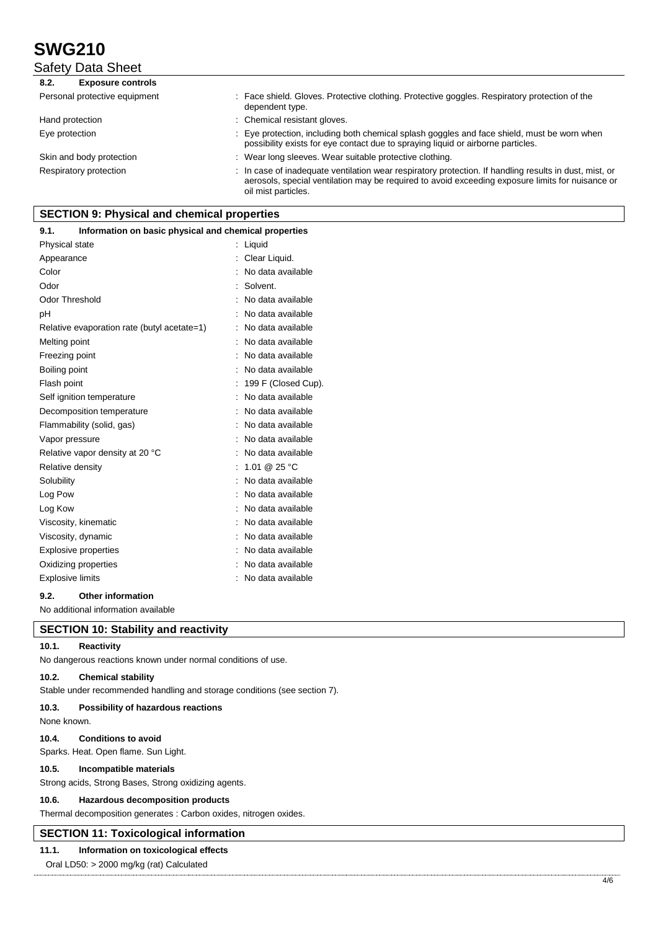Safety Data Sheet

| 8.2.<br><b>Exposure controls</b> |                                                                                                                                                                                                                                   |
|----------------------------------|-----------------------------------------------------------------------------------------------------------------------------------------------------------------------------------------------------------------------------------|
| Personal protective equipment    | : Face shield. Gloves. Protective clothing. Protective goggles. Respiratory protection of the<br>dependent type.                                                                                                                  |
| Hand protection                  | : Chemical resistant gloves.                                                                                                                                                                                                      |
| Eye protection                   | : Eye protection, including both chemical splash goggles and face shield, must be worn when<br>possibility exists for eye contact due to spraying liquid or airborne particles.                                                   |
| Skin and body protection         | : Wear long sleeves. Wear suitable protective clothing.                                                                                                                                                                           |
| Respiratory protection           | : In case of inadequate ventilation wear respiratory protection. If handling results in dust, mist, or<br>aerosols, special ventilation may be required to avoid exceeding exposure limits for nuisance or<br>oil mist particles. |

## **SECTION 9: Physical and chemical properties**

#### **9.1. Information on basic physical and chemical properties**

| Physical state                              | Liquid              |
|---------------------------------------------|---------------------|
| Appearance                                  | Clear Liquid.       |
| Color                                       | No data available   |
| Odor                                        | Solvent.            |
| <b>Odor Threshold</b>                       | No data available   |
| рH                                          | No data available   |
| Relative evaporation rate (butyl acetate=1) | No data available   |
| Melting point                               | No data available   |
| Freezing point                              | No data available   |
| Boiling point                               | No data available   |
| Flash point                                 | 199 F (Closed Cup). |
| Self ignition temperature                   | No data available   |
| Decomposition temperature                   | No data available   |
| Flammability (solid, gas)                   | No data available   |
| Vapor pressure                              | No data available   |
| Relative vapor density at 20 °C             | No data available   |
| Relative density                            | 1.01 @ 25 °C        |
| Solubility                                  | No data available   |
| Log Pow                                     | No data available   |
| Log Kow                                     | No data available   |
| Viscosity, kinematic                        | No data available   |
| Viscosity, dynamic                          | No data available   |
| <b>Explosive properties</b>                 | No data available   |
| Oxidizing properties                        | No data available   |
| <b>Explosive limits</b>                     | No data available   |

#### **9.2. Other information**

No additional information available

## **SECTION 10: Stability and reactivity**

## **10.1. Reactivity**

No dangerous reactions known under normal conditions of use.

#### **10.2. Chemical stability**

Stable under recommended handling and storage conditions (see section 7).

#### **10.3. Possibility of hazardous reactions**

None known.

#### **10.4. Conditions to avoid**

Sparks. Heat. Open flame. Sun Light.

#### **10.5. Incompatible materials**

Strong acids, Strong Bases, Strong oxidizing agents.

#### **10.6. Hazardous decomposition products**

Thermal decomposition generates : Carbon oxides, nitrogen oxides.

## **SECTION 11: Toxicological information**

## **11.1. Information on toxicological effects**

Oral LD50: > 2000 mg/kg (rat) Calculated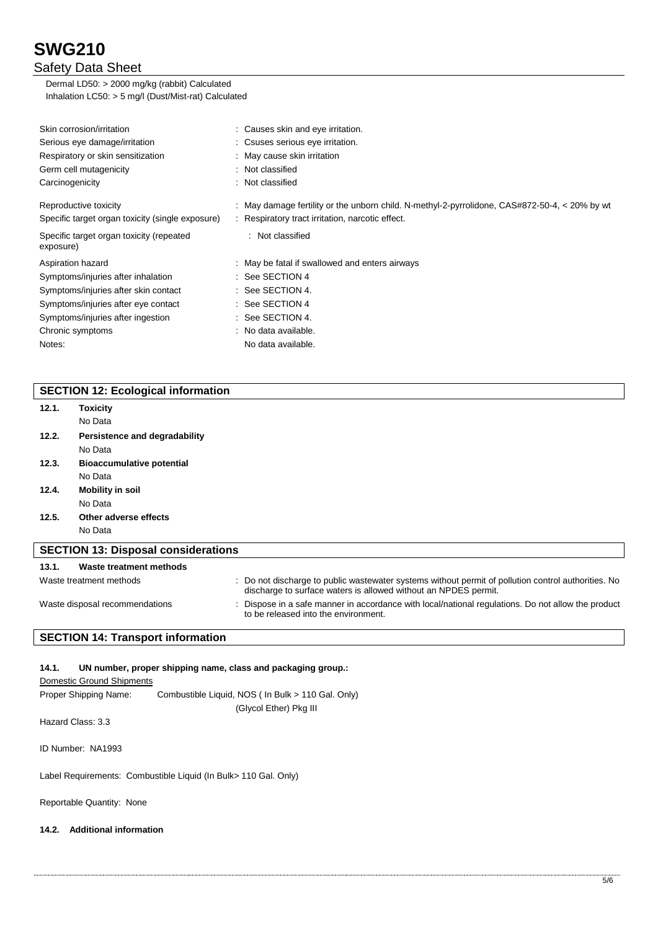## Safety Data Sheet

Dermal LD50: > 2000 mg/kg (rabbit) Calculated Inhalation LC50: > 5 mg/l (Dust/Mist-rat) Calculated

| Skin corrosion/irritation                             | Causes skin and eye irritation.                                                             |
|-------------------------------------------------------|---------------------------------------------------------------------------------------------|
| Serious eye damage/irritation                         | : Csuses serious eye irritation.                                                            |
| Respiratory or skin sensitization                     | : May cause skin irritation                                                                 |
| Germ cell mutagenicity                                | : Not classified                                                                            |
| Carcinogenicity                                       | : Not classified                                                                            |
| Reproductive toxicity                                 | May damage fertility or the unborn child. N-methyl-2-pyrrolidone, CAS#872-50-4, < 20% by wt |
| Specific target organ toxicity (single exposure)      | : Respiratory tract irritation, narcotic effect.                                            |
| Specific target organ toxicity (repeated<br>exposure) | : Not classified                                                                            |
| Aspiration hazard                                     | : May be fatal if swallowed and enters airways                                              |
| Symptoms/injuries after inhalation                    | $\therefore$ See SECTION 4                                                                  |
| Symptoms/injuries after skin contact                  | $\therefore$ See SECTION 4.                                                                 |
| Symptoms/injuries after eye contact                   | $:$ See SECTION 4                                                                           |
| Symptoms/injuries after ingestion                     | $:$ See SECTION 4.                                                                          |
| Chronic symptoms                                      | : No data available.                                                                        |
| Notes:                                                | No data available.                                                                          |

## **SECTION 12: Ecological information**

| 12.1. | <b>Toxicity</b>                            |                                                                                                                                                                        |
|-------|--------------------------------------------|------------------------------------------------------------------------------------------------------------------------------------------------------------------------|
|       | No Data                                    |                                                                                                                                                                        |
| 12.2. | Persistence and degradability              |                                                                                                                                                                        |
|       | No Data                                    |                                                                                                                                                                        |
| 12.3. | <b>Bioaccumulative potential</b>           |                                                                                                                                                                        |
|       | No Data                                    |                                                                                                                                                                        |
| 12.4. | <b>Mobility in soil</b>                    |                                                                                                                                                                        |
|       | No Data                                    |                                                                                                                                                                        |
| 12.5. | Other adverse effects                      |                                                                                                                                                                        |
|       | No Data                                    |                                                                                                                                                                        |
|       | <b>SECTION 13: Disposal considerations</b> |                                                                                                                                                                        |
| 13.1. | Waste treatment methods                    |                                                                                                                                                                        |
|       | Waste treatment methods                    | : Do not discharge to public wastewater systems without permit of pollution control authorities. No<br>discharge to surface waters is allowed without an NPDES permit. |
|       | Waste disposal recommendations             | Dispose in a safe manner in accordance with local/national regulations. Do not allow the product<br>to be released into the environment.                               |
|       | <b>SECTION 14: Transport information</b>   |                                                                                                                                                                        |

## **14.1. UN number, proper shipping name, class and packaging group.:**

Domestic Ground Shipments

Proper Shipping Name: Combustible Liquid, NOS ( In Bulk > 110 Gal. Only) (Glycol Ether) Pkg III

Hazard Class: 3.3

ID Number: NA1993

Label Requirements: Combustible Liquid (In Bulk> 110 Gal. Only)

Reportable Quantity: None

### **14.2. Additional information**